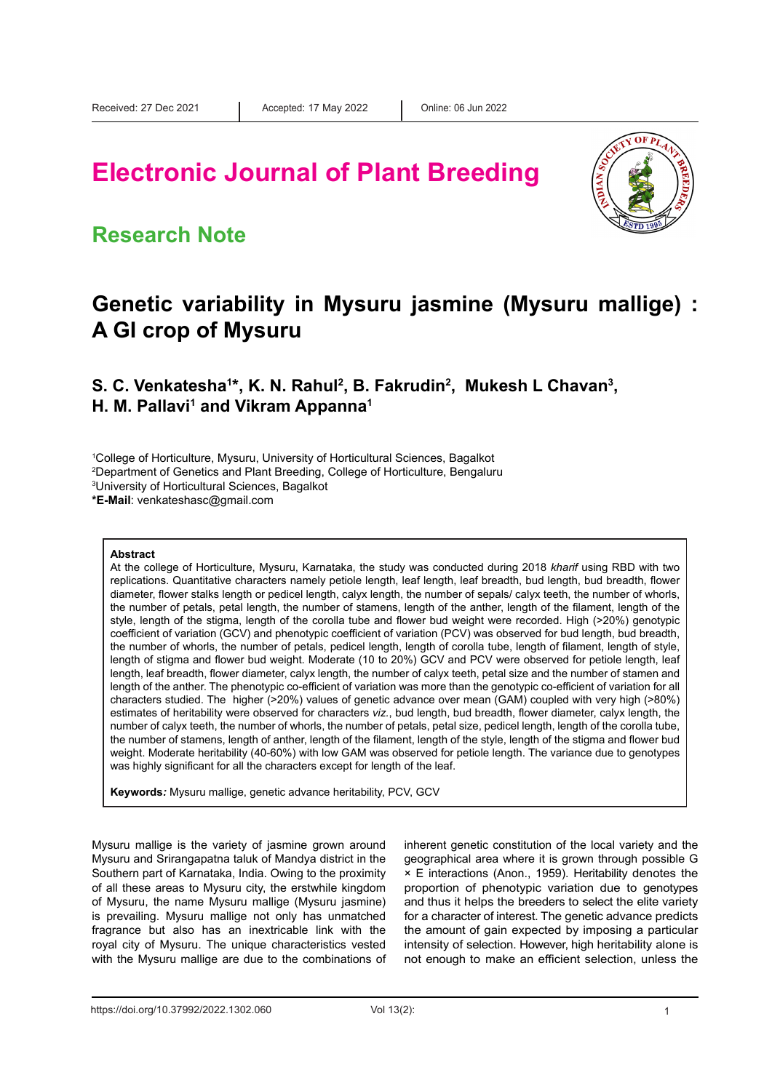# **Electronic Journal of Plant Breeding**



### **Research Note**

### **Genetic variability in Mysuru jasmine (Mysuru mallige) : A GI crop of Mysuru**

**S. C. Venkatesha<sup>1\*</sup>, K. N. Rahul<sup>2</sup>, B. Fakrudin<sup>2</sup>, Mukesh L Chavan<sup>3</sup>, H. M. Pallavi1 and Vikram Appanna1**

1 College of Horticulture, Mysuru, University of Horticultural Sciences, Bagalkot

2 Department of Genetics and Plant Breeding, College of Horticulture, Bengaluru

3 University of Horticultural Sciences, Bagalkot

**\*E-Mail**: venkateshasc@gmail.com

#### **Abstract**

At the college of Horticulture, Mysuru, Karnataka, the study was conducted during 2018 *kharif* using RBD with two replications. Quantitative characters namely petiole length, leaf length, leaf breadth, bud length, bud breadth, flower diameter, flower stalks length or pedicel length, calyx length, the number of sepals/ calyx teeth, the number of whorls, the number of petals, petal length, the number of stamens, length of the anther, length of the filament, length of the style, length of the stigma, length of the corolla tube and flower bud weight were recorded. High (>20%) genotypic coefficient of variation (GCV) and phenotypic coefficient of variation (PCV) was observed for bud length, bud breadth, the number of whorls, the number of petals, pedicel length, length of corolla tube, length of filament, length of style, length of stigma and flower bud weight. Moderate (10 to 20%) GCV and PCV were observed for petiole length, leaf length, leaf breadth, flower diameter, calyx length, the number of calyx teeth, petal size and the number of stamen and length of the anther. The phenotypic co-efficient of variation was more than the genotypic co-efficient of variation for all characters studied. The higher (>20%) values of genetic advance over mean (GAM) coupled with very high (>80%) estimates of heritability were observed for characters *viz.*, bud length, bud breadth, flower diameter, calyx length, the number of calyx teeth, the number of whorls, the number of petals, petal size, pedicel length, length of the corolla tube, the number of stamens, length of anther, length of the filament, length of the style, length of the stigma and flower bud weight. Moderate heritability (40-60%) with low GAM was observed for petiole length. The variance due to genotypes was highly significant for all the characters except for length of the leaf.

**Keywords***:* Mysuru mallige, genetic advance heritability, PCV, GCV

Mysuru mallige is the variety of jasmine grown around Mysuru and Srirangapatna taluk of Mandya district in the Southern part of Karnataka, India. Owing to the proximity of all these areas to Mysuru city, the erstwhile kingdom of Mysuru, the name Mysuru mallige (Mysuru jasmine) is prevailing. Mysuru mallige not only has unmatched fragrance but also has an inextricable link with the royal city of Mysuru. The unique characteristics vested with the Mysuru mallige are due to the combinations of inherent genetic constitution of the local variety and the geographical area where it is grown through possible G × E interactions (Anon., 1959). Heritability denotes the proportion of phenotypic variation due to genotypes and thus it helps the breeders to select the elite variety for a character of interest. The genetic advance predicts the amount of gain expected by imposing a particular intensity of selection. However, high heritability alone is not enough to make an efficient selection, unless the

https://doi.org/10.37992/2022.1302.060 Vol 13(2): 1 Vol 13(2): 1 1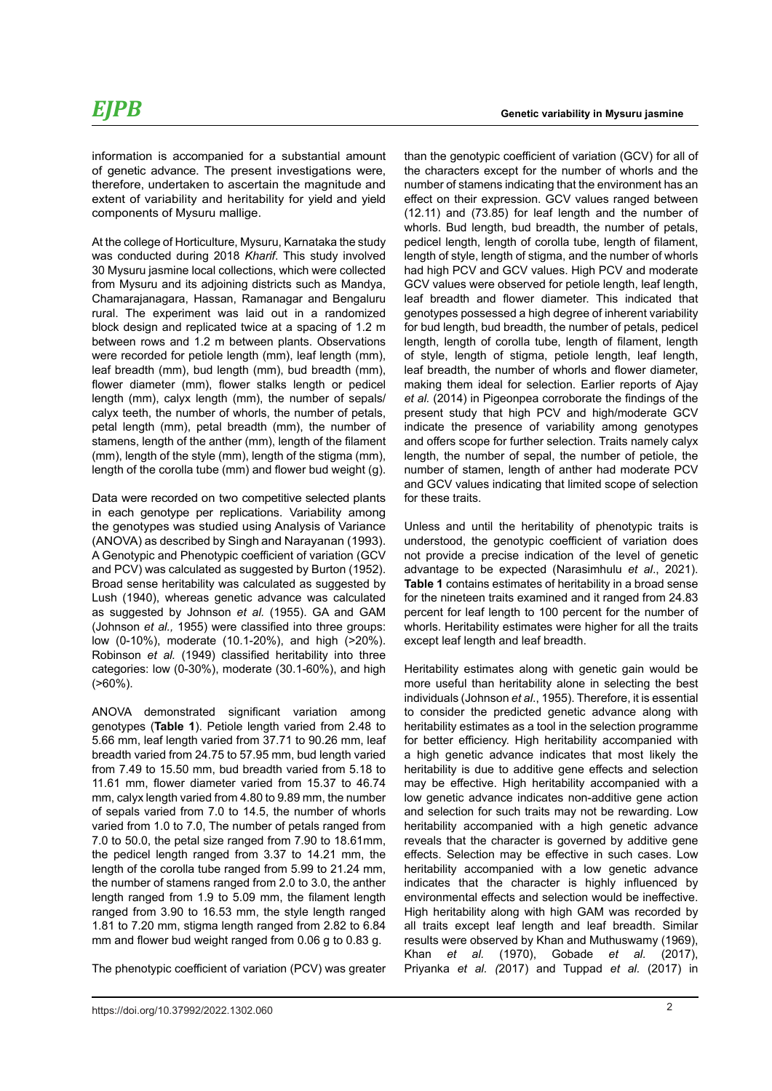At the college of Horticulture, Mysuru, Karnataka the study was conducted during 2018 *Kharif*. This study involved 30 Mysuru jasmine local collections, which were collected from Mysuru and its adjoining districts such as Mandya, Chamarajanagara, Hassan, Ramanagar and Bengaluru rural. The experiment was laid out in a randomized block design and replicated twice at a spacing of 1.2 m between rows and 1.2 m between plants. Observations were recorded for petiole length (mm), leaf length (mm), leaf breadth (mm), bud length (mm), bud breadth (mm), flower diameter (mm), flower stalks length or pedicel length (mm), calyx length (mm), the number of sepals/ calyx teeth, the number of whorls, the number of petals, petal length (mm), petal breadth (mm), the number of stamens, length of the anther (mm), length of the filament (mm), length of the style (mm), length of the stigma (mm), length of the corolla tube (mm) and flower bud weight (g).

extent of variability and heritability for yield and yield

components of Mysuru mallige.

Data were recorded on two competitive selected plants in each genotype per replications. Variability among the genotypes was studied using Analysis of Variance (ANOVA) as described by Singh and Narayanan (1993). A Genotypic and Phenotypic coefficient of variation (GCV and PCV) was calculated as suggested by Burton (1952). Broad sense heritability was calculated as suggested by Lush (1940), whereas genetic advance was calculated as suggested by Johnson *et al.* (1955). GA and GAM (Johnson *et al.,* 1955) were classified into three groups: low (0-10%), moderate (10.1-20%), and high (>20%). Robinson *et al.* (1949) classified heritability into three categories: low (0-30%), moderate (30.1-60%), and high (>60%).

ANOVA demonstrated significant variation among genotypes (**Table 1**). Petiole length varied from 2.48 to 5.66 mm, leaf length varied from 37.71 to 90.26 mm, leaf breadth varied from 24.75 to 57.95 mm, bud length varied from 7.49 to 15.50 mm, bud breadth varied from 5.18 to 11.61 mm, flower diameter varied from 15.37 to 46.74 mm, calyx length varied from 4.80 to 9.89 mm, the number of sepals varied from 7.0 to 14.5, the number of whorls varied from 1.0 to 7.0, The number of petals ranged from 7.0 to 50.0, the petal size ranged from 7.90 to 18.61mm, the pedicel length ranged from 3.37 to 14.21 mm, the length of the corolla tube ranged from 5.99 to 21.24 mm, the number of stamens ranged from 2.0 to 3.0, the anther length ranged from 1.9 to 5.09 mm, the filament length ranged from 3.90 to 16.53 mm, the style length ranged 1.81 to 7.20 mm, stigma length ranged from 2.82 to 6.84 mm and flower bud weight ranged from 0.06 g to 0.83 g.

The phenotypic coefficient of variation (PCV) was greater

than the genotypic coefficient of variation (GCV) for all of the characters except for the number of whorls and the number of stamens indicating that the environment has an effect on their expression. GCV values ranged between (12.11) and (73.85) for leaf length and the number of whorls. Bud length, bud breadth, the number of petals, pedicel length, length of corolla tube, length of filament, length of style, length of stigma, and the number of whorls had high PCV and GCV values. High PCV and moderate GCV values were observed for petiole length, leaf length, leaf breadth and flower diameter. This indicated that genotypes possessed a high degree of inherent variability for bud length, bud breadth, the number of petals, pedicel length, length of corolla tube, length of filament, length of style, length of stigma, petiole length, leaf length, leaf breadth, the number of whorls and flower diameter, making them ideal for selection. Earlier reports of Ajay *et al.* (2014) in Pigeonpea corroborate the findings of the present study that high PCV and high/moderate GCV indicate the presence of variability among genotypes and offers scope for further selection. Traits namely calyx length, the number of sepal, the number of petiole, the number of stamen, length of anther had moderate PCV and GCV values indicating that limited scope of selection for these traits.

Unless and until the heritability of phenotypic traits is understood, the genotypic coefficient of variation does not provide a precise indication of the level of genetic advantage to be expected (Narasimhulu *et al*., 2021). **Table 1** contains estimates of heritability in a broad sense for the nineteen traits examined and it ranged from 24.83 percent for leaf length to 100 percent for the number of whorls. Heritability estimates were higher for all the traits except leaf length and leaf breadth.

Heritability estimates along with genetic gain would be more useful than heritability alone in selecting the best individuals (Johnson *et al*., 1955). Therefore, it is essential to consider the predicted genetic advance along with heritability estimates as a tool in the selection programme for better efficiency. High heritability accompanied with a high genetic advance indicates that most likely the heritability is due to additive gene effects and selection may be effective. High heritability accompanied with a low genetic advance indicates non-additive gene action and selection for such traits may not be rewarding. Low heritability accompanied with a high genetic advance reveals that the character is governed by additive gene effects. Selection may be effective in such cases. Low heritability accompanied with a low genetic advance indicates that the character is highly influenced by environmental effects and selection would be ineffective. High heritability along with high GAM was recorded by all traits except leaf length and leaf breadth. Similar results were observed by Khan and Muthuswamy (1969), Khan *et al.* (1970), Gobade *et al.* (2017), Priyanka *et al. (*2017) and Tuppad *et al.* (2017) in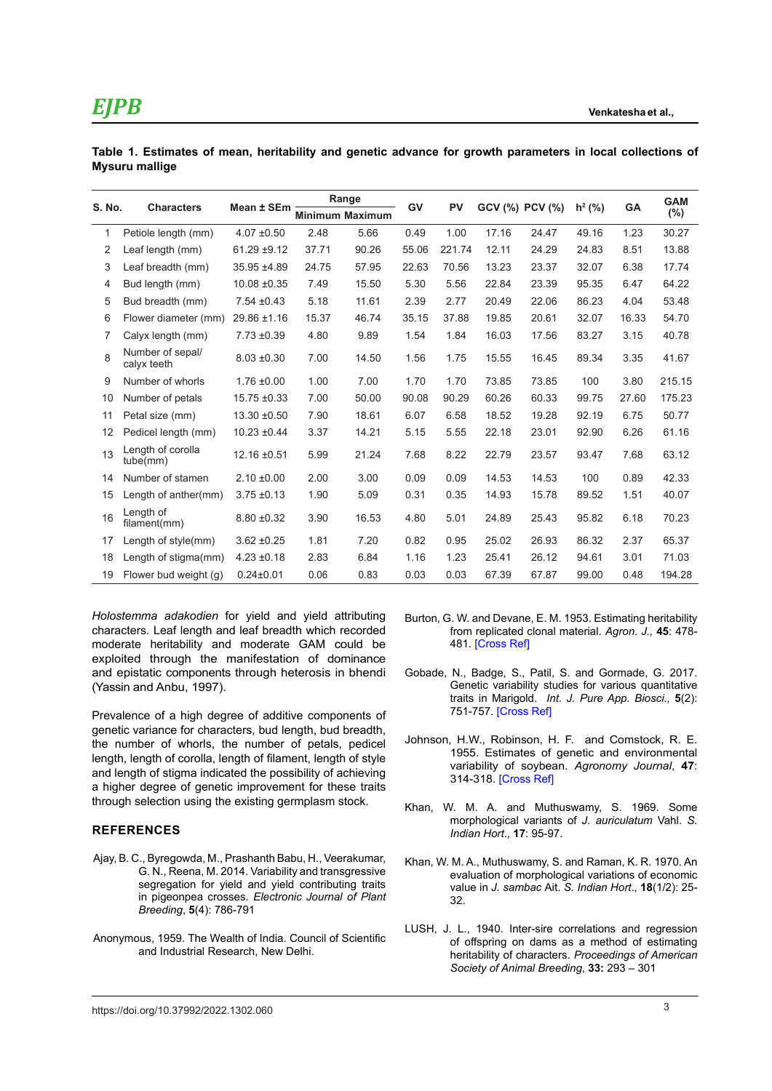## *EJPB*

|                |  |  |  |  | Table 1. Estimates of mean, heritability and genetic advance for growth parameters in local collections of |  |  |
|----------------|--|--|--|--|------------------------------------------------------------------------------------------------------------|--|--|
| Mysuru mallige |  |  |  |  |                                                                                                            |  |  |

| S. No. | <b>Characters</b>               | Mean ± SEm       | Range |                        | GV    | <b>PV</b> |       | GCV (%) PCV (%) | $h^2$ (%) | <b>GA</b> | <b>GAM</b> |
|--------|---------------------------------|------------------|-------|------------------------|-------|-----------|-------|-----------------|-----------|-----------|------------|
|        |                                 |                  |       | <b>Minimum Maximum</b> |       |           |       |                 |           |           | $(\%)$     |
| 1      | Petiole length (mm)             | $4.07 \pm 0.50$  | 2.48  | 5.66                   | 0.49  | 1.00      | 17.16 | 24.47           | 49.16     | 1.23      | 30.27      |
| 2      | Leaf length (mm)                | $61.29 \pm 9.12$ | 37.71 | 90.26                  | 55.06 | 221.74    | 12.11 | 24.29           | 24.83     | 8.51      | 13.88      |
| 3      | Leaf breadth (mm)               | 35.95 ±4.89      | 24.75 | 57.95                  | 22.63 | 70.56     | 13.23 | 23.37           | 32.07     | 6.38      | 17.74      |
| 4      | Bud length (mm)                 | $10.08 \pm 0.35$ | 7.49  | 15.50                  | 5.30  | 5.56      | 22.84 | 23.39           | 95.35     | 6.47      | 64.22      |
| 5      | Bud breadth (mm)                | $7.54 \pm 0.43$  | 5.18  | 11.61                  | 2.39  | 2.77      | 20.49 | 22.06           | 86.23     | 4.04      | 53.48      |
| 6      | Flower diameter (mm)            | 29.86 ±1.16      | 15.37 | 46.74                  | 35.15 | 37.88     | 19.85 | 20.61           | 32.07     | 16.33     | 54.70      |
| 7      | Calyx length (mm)               | $7.73 \pm 0.39$  | 4.80  | 9.89                   | 1.54  | 1.84      | 16.03 | 17.56           | 83.27     | 3.15      | 40.78      |
| 8      | Number of sepal/<br>calyx teeth | $8.03 \pm 0.30$  | 7.00  | 14.50                  | 1.56  | 1.75      | 15.55 | 16.45           | 89.34     | 3.35      | 41.67      |
| 9      | Number of whorls                | $1.76 \pm 0.00$  | 1.00  | 7.00                   | 1.70  | 1.70      | 73.85 | 73.85           | 100       | 3.80      | 215.15     |
| 10     | Number of petals                | $15.75 \pm 0.33$ | 7.00  | 50.00                  | 90.08 | 90.29     | 60.26 | 60.33           | 99.75     | 27.60     | 175.23     |
| 11     | Petal size (mm)                 | $13.30 \pm 0.50$ | 7.90  | 18.61                  | 6.07  | 6.58      | 18.52 | 19.28           | 92.19     | 6.75      | 50.77      |
| 12     | Pedicel length (mm)             | $10.23 \pm 0.44$ | 3.37  | 14.21                  | 5.15  | 5.55      | 22.18 | 23.01           | 92.90     | 6.26      | 61.16      |
| 13     | Length of corolla<br>tube(mm)   | 12.16 ±0.51      | 5.99  | 21.24                  | 7.68  | 8.22      | 22.79 | 23.57           | 93.47     | 7.68      | 63.12      |
| 14     | Number of stamen                | $2.10 \pm 0.00$  | 2.00  | 3.00                   | 0.09  | 0.09      | 14.53 | 14.53           | 100       | 0.89      | 42.33      |
| 15     | Length of anther(mm)            | $3.75 \pm 0.13$  | 1.90  | 5.09                   | 0.31  | 0.35      | 14.93 | 15.78           | 89.52     | 1.51      | 40.07      |
| 16     | Length of<br>filament(mm)       | $8.80 \pm 0.32$  | 3.90  | 16.53                  | 4.80  | 5.01      | 24.89 | 25.43           | 95.82     | 6.18      | 70.23      |
| 17     | Length of style(mm)             | $3.62 + 0.25$    | 1.81  | 7.20                   | 0.82  | 0.95      | 25.02 | 26.93           | 86.32     | 2.37      | 65.37      |
| 18     | Length of stigma(mm)            | $4.23 \pm 0.18$  | 2.83  | 6.84                   | 1.16  | 1.23      | 25.41 | 26.12           | 94.61     | 3.01      | 71.03      |
| 19     | Flower bud weight (g)           | $0.24 \pm 0.01$  | 0.06  | 0.83                   | 0.03  | 0.03      | 67.39 | 67.87           | 99.00     | 0.48      | 194.28     |

*Holostemma adakodien* for yield and yield attributing characters. Leaf length and leaf breadth which recorded moderate heritability and moderate GAM could be exploited through the manifestation of dominance and epistatic components through heterosis in bhendi (Yassin and Anbu, 1997).

Prevalence of a high degree of additive components of genetic variance for characters, bud length, bud breadth, the number of whorls, the number of petals, pedicel length, length of corolla, length of filament, length of style and length of stigma indicated the possibility of achieving a higher degree of genetic improvement for these traits through selection using the existing germplasm stock.

### **REFERENCES**

- Ajay, B. C., Byregowda, M., Prashanth Babu, H., Veerakumar, G. N., Reena, M. 2014. Variability and transgressive segregation for yield and yield contributing traits in pigeonpea crosses. *Electronic Journal of Plant Breeding*, **5**(4): 786-791
- Anonymous, 1959. The Wealth of India. Council of Scientific and Industrial Research, New Delhi.
- Burton, G. W. and Devane, E. M. 1953. Estimating heritability from replicated clonal material. *Agron. J.,* **45**: 478- 481. [\[Cross Ref\]](https://doi.org/10.2134/agronj1953.00021962004500100005x)
- Gobade, N., Badge, S., Patil, S. and Gormade, G. 2017. Genetic variability studies for various quantitative traits in Marigold. *Int. J. Pure App. Biosci.,* **5**(2): 751-757. [\[Cross Ref\]](https://doi.org/10.18782/2320-7051.2501)
- Johnson, H.W., Robinson, H. F. and Comstock, R. E. 1955. Estimates of genetic and environmental variability of soybean. *Agronomy Journal*, **47**: 314-318. [\[Cross Ref\]](https://doi.org/10.2134/agronj1955.00021962004700070009x)
- Khan, W. M. A. and Muthuswamy, S. 1969. Some morphological variants of *J. auriculatum* Vahl. *S. Indian Hort*., **17**: 95-97.
- Khan, W. M. A., Muthuswamy, S. and Raman, K. R. 1970. An evaluation of morphological variations of economic value in *J. sambac* Ait. *S. Indian Hort*., **18**(1/2): 25- 32.
- LUSH, J. L., 1940. Inter-sire correlations and regression of offspring on dams as a method of estimating heritability of characters. *Proceedings of American Society of Animal Breeding*, **33:** 293 – 301